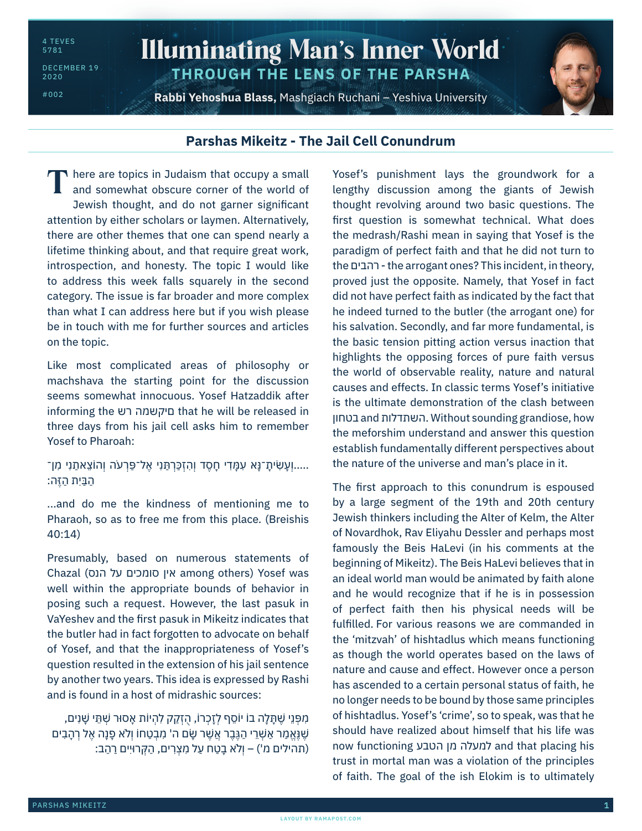4 TEVES 5781

DECEMBER 19 2020

#002

## Illuminating Man's Inner World **THROUGH THE LENS OF THE PARSHA**

**Rabbi Yehoshua Blass,** Mashgiach Ruchani – Yeshiva University



## **Parshas Mikeitz - The Jail Cell Conundrum**

There are topics in Judaism that occupy a small<br>and somewhat obscure corner of the world of and somewhat obscure corner of the world of Jewish thought, and do not garner significant attention by either scholars or laymen. Alternatively, there are other themes that one can spend nearly a lifetime thinking about, and that require great work, introspection, and honesty. The topic I would like to address this week falls squarely in the second category. The issue is far broader and more complex than what I can address here but if you wish please be in touch with me for further sources and articles on the topic.

Like most complicated areas of philosophy or machshava the starting point for the discussion seems somewhat innocuous. Yosef Hatzaddik after informing the רש םיקשמה that he will be released in three days from his jail cell asks him to remember Yosef to Pharoah:

## .....וְעָשִׂיתָ־נָּא עִמָּדִי חָסֶד וְהִזְכַּרְתַּנִי אֶל־פַּרְעֹה וְהוֹצֵאתַנִי מִן־ הַ בַּ יִ ת הַ זֶ ּה:

...and do me the kindness of mentioning me to Pharaoh, so as to free me from this place. (Breishis 40:14)

Presumably, based on numerous statements of Chazal (הנס על סומכים אין among others) Yosef was well within the appropriate bounds of behavior in posing such a request. However, the last pasuk in VaYeshev and the first pasuk in Mikeitz indicates that the butler had in fact forgotten to advocate on behalf of Yosef, and that the inappropriateness of Yosef's question resulted in the extension of his jail sentence by another two years. This idea is expressed by Rashi and is found in a host of midrashic sources:

מִ פְּ נֵ י שֶׁ תָּ לָ ה בֹו יֹוסֵ ף לְ זָ כְ רֹו, הֻ זְ קַ ק לִ הְ יֹות ָאסּור שְׁ תֵּ י שָׁ נִ ים, שֶׁ נֶּאֱ מַר אַשָּׁרֵי הַגֶּבֶר אֲשֶׁר שַׂם ה' מִבְטַחוֹ וְלֹא פַנַה אֶל רְהָבִים (תהילים מ') – וְלֹא בָטַח עַל מִצְרִים, הַקְּרוּיִים רַהַב:

Yosef's punishment lays the groundwork for a lengthy discussion among the giants of Jewish thought revolving around two basic questions. The first question is somewhat technical. What does the medrash/Rashi mean in saying that Yosef is the paradigm of perfect faith and that he did not turn to the רהבים - the arrogant ones? This incident, in theory, proved just the opposite. Namely, that Yosef in fact did not have perfect faith as indicated by the fact that he indeed turned to the butler (the arrogant one) for his salvation. Secondly, and far more fundamental, is the basic tension pitting action versus inaction that highlights the opposing forces of pure faith versus the world of observable reality, nature and natural causes and effects. In classic terms Yosef's initiative is the ultimate demonstration of the clash between בטחון and השתדלות. Without sounding grandiose, how the meforshim understand and answer this question establish fundamentally different perspectives about the nature of the universe and man's place in it.

The first approach to this conundrum is espoused by a large segment of the 19th and 20th century Jewish thinkers including the Alter of Kelm, the Alter of Novardhok, Rav Eliyahu Dessler and perhaps most famously the Beis HaLevi (in his comments at the beginning of Mikeitz). The Beis HaLevi believes that in an ideal world man would be animated by faith alone and he would recognize that if he is in possession of perfect faith then his physical needs will be fulfilled. For various reasons we are commanded in the 'mitzvah' of hishtadlus which means functioning as though the world operates based on the laws of nature and cause and effect. However once a person has ascended to a certain personal status of faith, he no longer needs to be bound by those same principles of hishtadlus. Yosef's 'crime', so to speak, was that he should have realized about himself that his life was now functioning הטבע מן למעלה and that placing his trust in mortal man was a violation of the principles of faith. The goal of the ish Elokim is to ultimately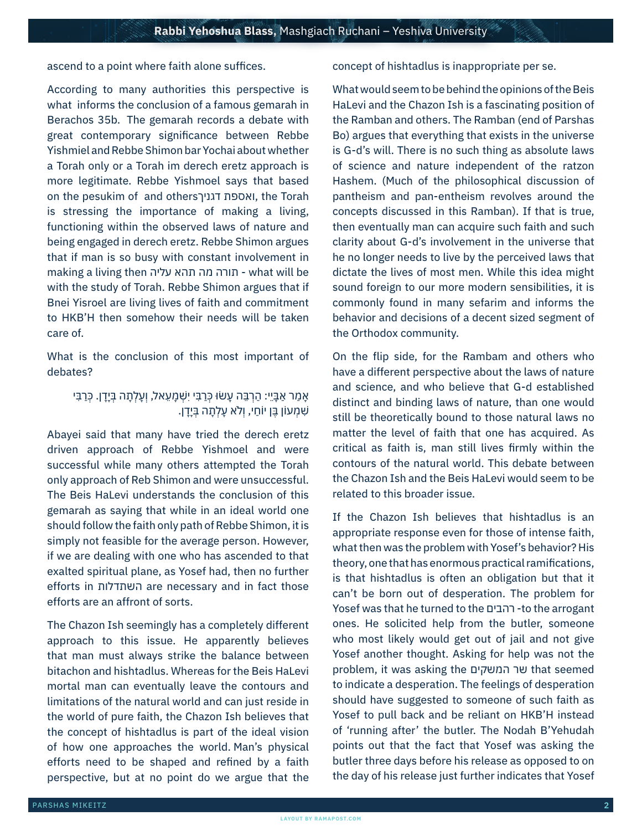ascend to a point where faith alone suffices.

According to many authorities this perspective is what informs the conclusion of a famous gemarah in Berachos 35b. The gemarah records a debate with great contemporary significance between Rebbe Yishmiel and Rebbe Shimon bar Yochai about whether a Torah only or a Torah im derech eretz approach is more legitimate. Rebbe Yishmoel says that based on the pesukim of and othersדגניך ואספת, the Torah is stressing the importance of making a living, functioning within the observed laws of nature and being engaged in derech eretz. Rebbe Shimon argues that if man is so busy with constant involvement in making a living then עליה תהא מה תורה - what will be with the study of Torah. Rebbe Shimon argues that if Bnei Yisroel are living lives of faith and commitment to HKB'H then somehow their needs will be taken care of.

What is the conclusion of this most important of debates?

## ֿאָמַר אַבָּיֵי: הַרְבֵּה עָשׂוּ כְּרַבִּי יִשְׁמָעֵאל, וְעָלְתָה בְּיָדָן. כְּרַבִּי ּשָׁמְעוֹן בֵּן יוֹחַי, וְלֹא עַלְתָה בְּיֵדָן.

Abayei said that many have tried the derech eretz driven approach of Rebbe Yishmoel and were successful while many others attempted the Torah only approach of Reb Shimon and were unsuccessful. The Beis HaLevi understands the conclusion of this gemarah as saying that while in an ideal world one should follow the faith only path of Rebbe Shimon, it is simply not feasible for the average person. However, if we are dealing with one who has ascended to that exalted spiritual plane, as Yosef had, then no further efforts in השתדלות are necessary and in fact those efforts are an affront of sorts.

The Chazon Ish seemingly has a completely different approach to this issue. He apparently believes that man must always strike the balance between bitachon and hishtadlus. Whereas for the Beis HaLevi mortal man can eventually leave the contours and limitations of the natural world and can just reside in the world of pure faith, the Chazon Ish believes that the concept of hishtadlus is part of the ideal vision of how one approaches the world. Man's physical efforts need to be shaped and refined by a faith perspective, but at no point do we argue that the concept of hishtadlus is inappropriate per se.

What would seem to be behind the opinions of the Beis HaLevi and the Chazon Ish is a fascinating position of the Ramban and others. The Ramban (end of Parshas Bo) argues that everything that exists in the universe is G-d's will. There is no such thing as absolute laws of science and nature independent of the ratzon Hashem. (Much of the philosophical discussion of pantheism and pan-entheism revolves around the concepts discussed in this Ramban). If that is true, then eventually man can acquire such faith and such clarity about G-d's involvement in the universe that he no longer needs to live by the perceived laws that dictate the lives of most men. While this idea might sound foreign to our more modern sensibilities, it is commonly found in many sefarim and informs the behavior and decisions of a decent sized segment of the Orthodox community.

On the flip side, for the Rambam and others who have a different perspective about the laws of nature and science, and who believe that G-d established distinct and binding laws of nature, than one would still be theoretically bound to those natural laws no matter the level of faith that one has acquired. As critical as faith is, man still lives firmly within the contours of the natural world. This debate between the Chazon Ish and the Beis HaLevi would seem to be related to this broader issue.

If the Chazon Ish believes that hishtadlus is an appropriate response even for those of intense faith, what then was the problem with Yosef's behavior? His theory, one that has enormous practical ramifications, is that hishtadlus is often an obligation but that it can't be born out of desperation. The problem for Yosef was that he turned to the רהבים -to the arrogant ones. He solicited help from the butler, someone who most likely would get out of jail and not give Yosef another thought. Asking for help was not the problem, it was asking the המשקים שר that seemed to indicate a desperation. The feelings of desperation should have suggested to someone of such faith as Yosef to pull back and be reliant on HKB'H instead of 'running after' the butler. The Nodah B'Yehudah points out that the fact that Yosef was asking the butler three days before his release as opposed to on the day of his release just further indicates that Yosef